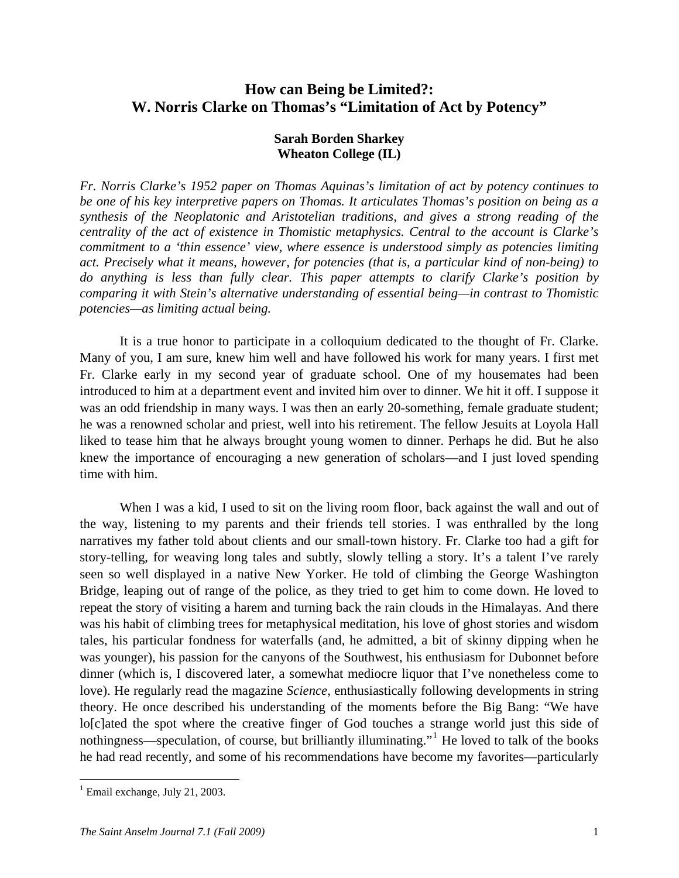# **How can Being be Limited?: W. Norris Clarke on Thomas's "Limitation of Act by Potency"**

## **Sarah Borden Sharkey Wheaton College (IL)**

*Fr. Norris Clarke's 1952 paper on Thomas Aquinas's limitation of act by potency continues to be one of his key interpretive papers on Thomas. It articulates Thomas's position on being as a synthesis of the Neoplatonic and Aristotelian traditions, and gives a strong reading of the centrality of the act of existence in Thomistic metaphysics. Central to the account is Clarke's commitment to a 'thin essence' view, where essence is understood simply as potencies limiting act. Precisely what it means, however, for potencies (that is, a particular kind of non-being) to do anything is less than fully clear. This paper attempts to clarify Clarke's position by comparing it with Stein's alternative understanding of essential being—in contrast to Thomistic potencies—as limiting actual being.* 

 It is a true honor to participate in a colloquium dedicated to the thought of Fr. Clarke. Many of you, I am sure, knew him well and have followed his work for many years. I first met Fr. Clarke early in my second year of graduate school. One of my housemates had been introduced to him at a department event and invited him over to dinner. We hit it off. I suppose it was an odd friendship in many ways. I was then an early 20-something, female graduate student; he was a renowned scholar and priest, well into his retirement. The fellow Jesuits at Loyola Hall liked to tease him that he always brought young women to dinner. Perhaps he did. But he also knew the importance of encouraging a new generation of scholars—and I just loved spending time with him.

When I was a kid, I used to sit on the living room floor, back against the wall and out of the way, listening to my parents and their friends tell stories. I was enthralled by the long narratives my father told about clients and our small-town history. Fr. Clarke too had a gift for story-telling, for weaving long tales and subtly, slowly telling a story. It's a talent I've rarely seen so well displayed in a native New Yorker. He told of climbing the George Washington Bridge, leaping out of range of the police, as they tried to get him to come down. He loved to repeat the story of visiting a harem and turning back the rain clouds in the Himalayas. And there was his habit of climbing trees for metaphysical meditation, his love of ghost stories and wisdom tales, his particular fondness for waterfalls (and, he admitted, a bit of skinny dipping when he was younger), his passion for the canyons of the Southwest, his enthusiasm for Dubonnet before dinner (which is, I discovered later, a somewhat mediocre liquor that I've nonetheless come to love). He regularly read the magazine *Science*, enthusiastically following developments in string theory. He once described his understanding of the moments before the Big Bang: "We have lo[c]ated the spot where the creative finger of God touches a strange world just this side of nothingness—speculation, of course, but brilliantly illuminating."<sup>[1](#page-0-0)</sup> He loved to talk of the books he had read recently, and some of his recommendations have become my favorites—particularly

<span id="page-0-0"></span><sup>&</sup>lt;sup>1</sup> Email exchange, July 21, 2003.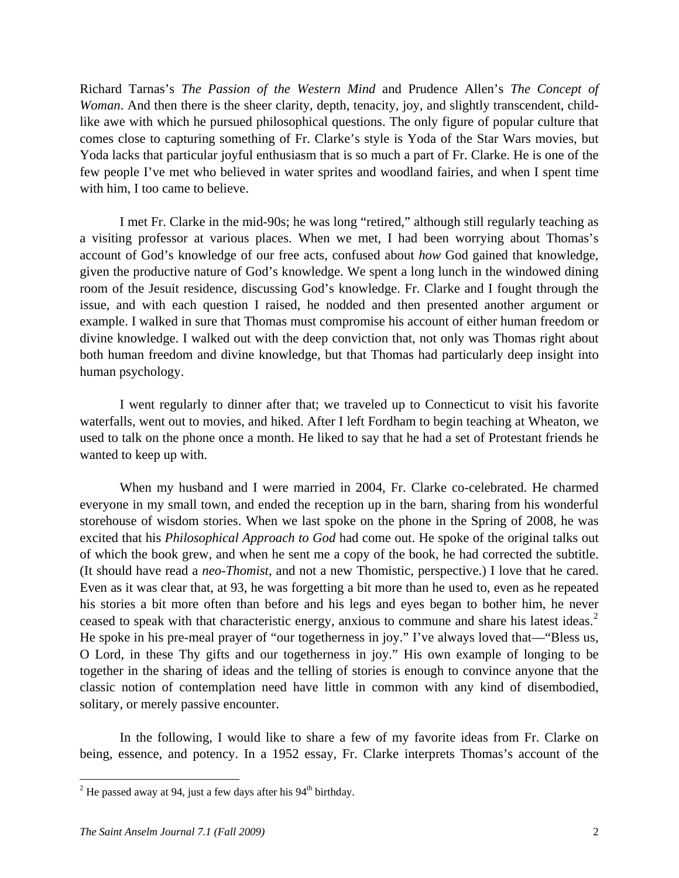Richard Tarnas's *The Passion of the Western Mind* and Prudence Allen's *The Concept of Woman*. And then there is the sheer clarity, depth, tenacity, joy, and slightly transcendent, childlike awe with which he pursued philosophical questions. The only figure of popular culture that comes close to capturing something of Fr. Clarke's style is Yoda of the Star Wars movies, but Yoda lacks that particular joyful enthusiasm that is so much a part of Fr. Clarke. He is one of the few people I've met who believed in water sprites and woodland fairies, and when I spent time with him, I too came to believe.

 I met Fr. Clarke in the mid-90s; he was long "retired," although still regularly teaching as a visiting professor at various places. When we met, I had been worrying about Thomas's account of God's knowledge of our free acts, confused about *how* God gained that knowledge, given the productive nature of God's knowledge. We spent a long lunch in the windowed dining room of the Jesuit residence, discussing God's knowledge. Fr. Clarke and I fought through the issue, and with each question I raised, he nodded and then presented another argument or example. I walked in sure that Thomas must compromise his account of either human freedom or divine knowledge. I walked out with the deep conviction that, not only was Thomas right about both human freedom and divine knowledge, but that Thomas had particularly deep insight into human psychology.

 I went regularly to dinner after that; we traveled up to Connecticut to visit his favorite waterfalls, went out to movies, and hiked. After I left Fordham to begin teaching at Wheaton, we used to talk on the phone once a month. He liked to say that he had a set of Protestant friends he wanted to keep up with.

 When my husband and I were married in 2004, Fr. Clarke co-celebrated. He charmed everyone in my small town, and ended the reception up in the barn, sharing from his wonderful storehouse of wisdom stories. When we last spoke on the phone in the Spring of 2008, he was excited that his *Philosophical Approach to God* had come out. He spoke of the original talks out of which the book grew, and when he sent me a copy of the book, he had corrected the subtitle. (It should have read a *neo-Thomist*, and not a new Thomistic, perspective.) I love that he cared. Even as it was clear that, at 93, he was forgetting a bit more than he used to, even as he repeated his stories a bit more often than before and his legs and eyes began to bother him, he never ceased to speak with that characteristic energy, anxious to commune and share his latest ideas.<sup>[2](#page-1-0)</sup> He spoke in his pre-meal prayer of "our togetherness in joy." I've always loved that—"Bless us, O Lord, in these Thy gifts and our togetherness in joy." His own example of longing to be together in the sharing of ideas and the telling of stories is enough to convince anyone that the classic notion of contemplation need have little in common with any kind of disembodied, solitary, or merely passive encounter.

 In the following, I would like to share a few of my favorite ideas from Fr. Clarke on being, essence, and potency. In a 1952 essay, Fr. Clarke interprets Thomas's account of the

<u>.</u>

<span id="page-1-0"></span><sup>&</sup>lt;sup>2</sup> He passed away at 94, just a few days after his 94<sup>th</sup> birthday.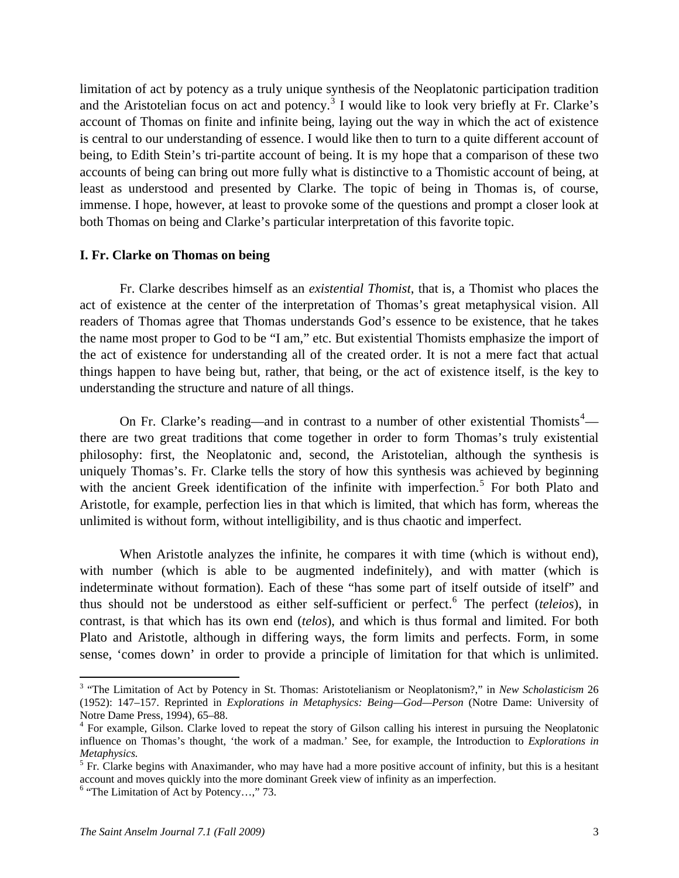limitation of act by potency as a truly unique synthesis of the Neoplatonic participation tradition and the Aristotelian focus on act and potency.<sup>[3](#page-2-0)</sup> I would like to look very briefly at Fr. Clarke's account of Thomas on finite and infinite being, laying out the way in which the act of existence is central to our understanding of essence. I would like then to turn to a quite different account of being, to Edith Stein's tri-partite account of being. It is my hope that a comparison of these two accounts of being can bring out more fully what is distinctive to a Thomistic account of being, at least as understood and presented by Clarke. The topic of being in Thomas is, of course, immense. I hope, however, at least to provoke some of the questions and prompt a closer look at both Thomas on being and Clarke's particular interpretation of this favorite topic.

#### **I. Fr. Clarke on Thomas on being**

 Fr. Clarke describes himself as an *existential Thomist*, that is, a Thomist who places the act of existence at the center of the interpretation of Thomas's great metaphysical vision. All readers of Thomas agree that Thomas understands God's essence to be existence, that he takes the name most proper to God to be "I am," etc. But existential Thomists emphasize the import of the act of existence for understanding all of the created order. It is not a mere fact that actual things happen to have being but, rather, that being, or the act of existence itself, is the key to understanding the structure and nature of all things.

On Fr. Clarke's reading—and in contrast to a number of other existential Thomists<sup>[4](#page-2-1)</sup> there are two great traditions that come together in order to form Thomas's truly existential philosophy: first, the Neoplatonic and, second, the Aristotelian, although the synthesis is uniquely Thomas's. Fr. Clarke tells the story of how this synthesis was achieved by beginning with the ancient Greek identification of the infinite with imperfection.<sup>[5](#page-2-2)</sup> For both Plato and Aristotle, for example, perfection lies in that which is limited, that which has form, whereas the unlimited is without form, without intelligibility, and is thus chaotic and imperfect.

 When Aristotle analyzes the infinite, he compares it with time (which is without end), with number (which is able to be augmented indefinitely), and with matter (which is indeterminate without formation). Each of these "has some part of itself outside of itself" and thus should not be understood as either self-sufficient or perfect.<sup>[6](#page-2-3)</sup> The perfect (*teleios*), in contrast, is that which has its own end (*telos*), and which is thus formal and limited. For both Plato and Aristotle, although in differing ways, the form limits and perfects. Form, in some sense, 'comes down' in order to provide a principle of limitation for that which is unlimited.

<span id="page-2-0"></span><sup>&</sup>lt;sup>3</sup> "The Limitation of Act by Potency in St. Thomas: Aristotelianism or Neoplatonism?," in *New Scholasticism* 26 (1952): 147–157. Reprinted in *Explorations in Metaphysics: Being—God—Person* (Notre Dame: University of Notre Dame Press, 1994), 65–88.

<span id="page-2-1"></span><sup>&</sup>lt;sup>4</sup> For example, Gilson. Clarke loved to repeat the story of Gilson calling his interest in pursuing the Neoplatonic influence on Thomas's thought, 'the work of a madman.' See, for example, the Introduction to *Explorations in Metaphysics.*

<span id="page-2-2"></span> $<sup>5</sup>$  Fr. Clarke begins with Anaximander, who may have had a more positive account of infinity, but this is a hesitant</sup> account and moves quickly into the more dominant Greek view of infinity as an imperfection.

<span id="page-2-3"></span> $6$  "The Limitation of Act by Potency...," 73.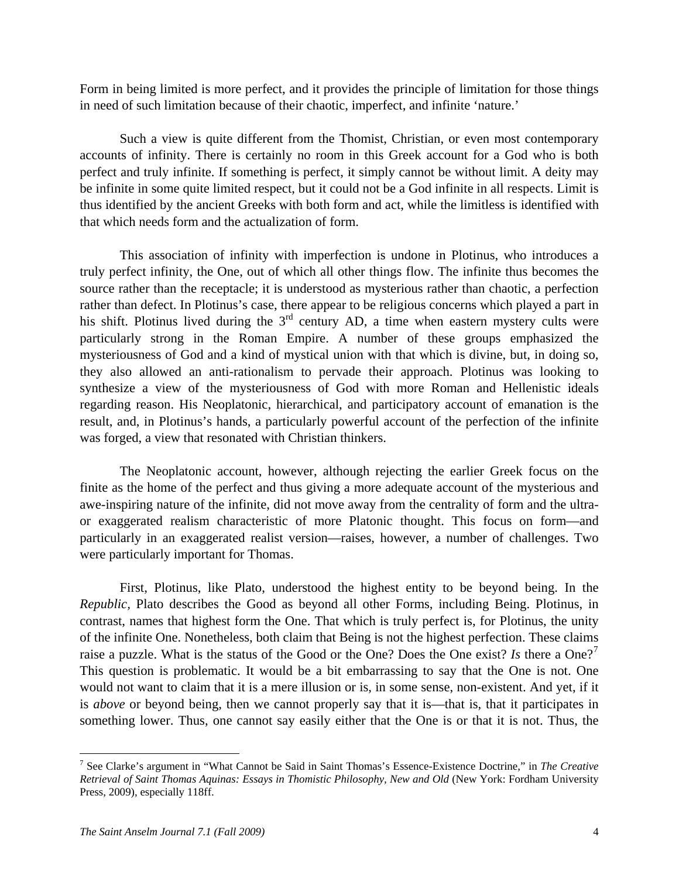Form in being limited is more perfect, and it provides the principle of limitation for those things in need of such limitation because of their chaotic, imperfect, and infinite 'nature.'

 Such a view is quite different from the Thomist, Christian, or even most contemporary accounts of infinity. There is certainly no room in this Greek account for a God who is both perfect and truly infinite. If something is perfect, it simply cannot be without limit. A deity may be infinite in some quite limited respect, but it could not be a God infinite in all respects. Limit is thus identified by the ancient Greeks with both form and act, while the limitless is identified with that which needs form and the actualization of form.

 This association of infinity with imperfection is undone in Plotinus, who introduces a truly perfect infinity, the One, out of which all other things flow. The infinite thus becomes the source rather than the receptacle; it is understood as mysterious rather than chaotic, a perfection rather than defect. In Plotinus's case, there appear to be religious concerns which played a part in his shift. Plotinus lived during the  $3<sup>rd</sup>$  century AD, a time when eastern mystery cults were particularly strong in the Roman Empire. A number of these groups emphasized the mysteriousness of God and a kind of mystical union with that which is divine, but, in doing so, they also allowed an anti-rationalism to pervade their approach. Plotinus was looking to synthesize a view of the mysteriousness of God with more Roman and Hellenistic ideals regarding reason. His Neoplatonic, hierarchical, and participatory account of emanation is the result, and, in Plotinus's hands, a particularly powerful account of the perfection of the infinite was forged, a view that resonated with Christian thinkers.

 The Neoplatonic account, however, although rejecting the earlier Greek focus on the finite as the home of the perfect and thus giving a more adequate account of the mysterious and awe-inspiring nature of the infinite, did not move away from the centrality of form and the ultraor exaggerated realism characteristic of more Platonic thought. This focus on form—and particularly in an exaggerated realist version—raises, however, a number of challenges. Two were particularly important for Thomas.

 First, Plotinus, like Plato, understood the highest entity to be beyond being. In the *Republic,* Plato describes the Good as beyond all other Forms, including Being. Plotinus, in contrast, names that highest form the One. That which is truly perfect is, for Plotinus, the unity of the infinite One. Nonetheless, both claim that Being is not the highest perfection. These claims raise a puzzle. What is the status of the Good or the One? Does the One exist? *Is* there a One?<sup>[7](#page-3-0)</sup> This question is problematic. It would be a bit embarrassing to say that the One is not. One would not want to claim that it is a mere illusion or is, in some sense, non-existent. And yet, if it is *above* or beyond being, then we cannot properly say that it is—that is, that it participates in something lower. Thus, one cannot say easily either that the One is or that it is not. Thus, the

1

<span id="page-3-0"></span><sup>7</sup> See Clarke's argument in "What Cannot be Said in Saint Thomas's Essence-Existence Doctrine," in *The Creative Retrieval of Saint Thomas Aquinas: Essays in Thomistic Philosophy, New and Old* (New York: Fordham University Press, 2009), especially 118ff.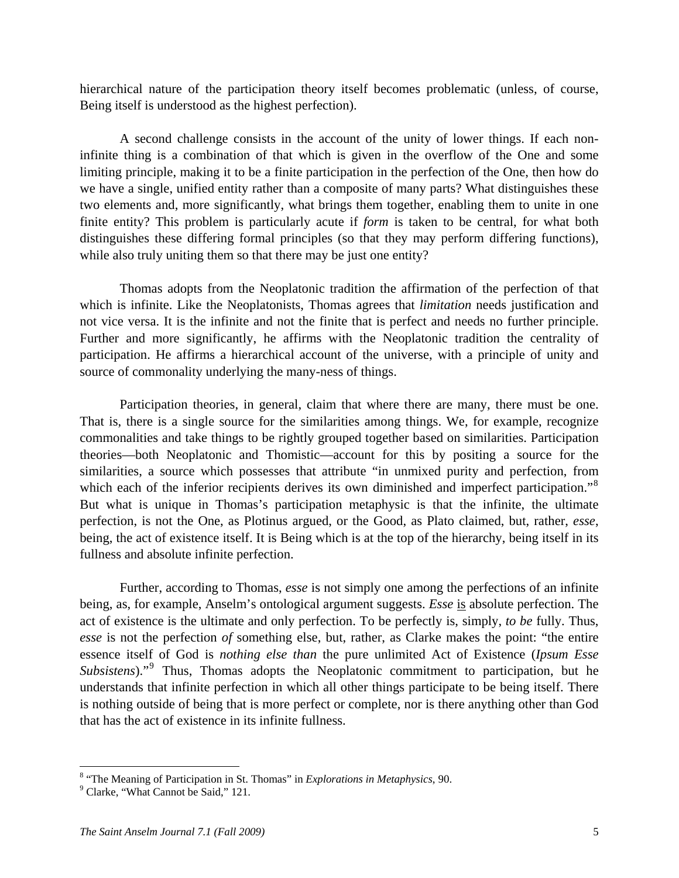hierarchical nature of the participation theory itself becomes problematic (unless, of course, Being itself is understood as the highest perfection).

 A second challenge consists in the account of the unity of lower things. If each noninfinite thing is a combination of that which is given in the overflow of the One and some limiting principle, making it to be a finite participation in the perfection of the One, then how do we have a single, unified entity rather than a composite of many parts? What distinguishes these two elements and, more significantly, what brings them together, enabling them to unite in one finite entity? This problem is particularly acute if *form* is taken to be central, for what both distinguishes these differing formal principles (so that they may perform differing functions), while also truly uniting them so that there may be just one entity?

 Thomas adopts from the Neoplatonic tradition the affirmation of the perfection of that which is infinite. Like the Neoplatonists, Thomas agrees that *limitation* needs justification and not vice versa. It is the infinite and not the finite that is perfect and needs no further principle. Further and more significantly, he affirms with the Neoplatonic tradition the centrality of participation. He affirms a hierarchical account of the universe, with a principle of unity and source of commonality underlying the many-ness of things.

 Participation theories, in general, claim that where there are many, there must be one. That is, there is a single source for the similarities among things. We, for example, recognize commonalities and take things to be rightly grouped together based on similarities. Participation theories—both Neoplatonic and Thomistic—account for this by positing a source for the similarities, a source which possesses that attribute "in unmixed purity and perfection, from which each of the inferior recipients derives its own diminished and imperfect participation."<sup>[8](#page-4-0)</sup> But what is unique in Thomas's participation metaphysic is that the infinite, the ultimate perfection, is not the One, as Plotinus argued, or the Good, as Plato claimed, but, rather, *esse*, being, the act of existence itself. It is Being which is at the top of the hierarchy, being itself in its fullness and absolute infinite perfection.

 Further, according to Thomas, *esse* is not simply one among the perfections of an infinite being, as, for example, Anselm's ontological argument suggests. *Esse* is absolute perfection. The act of existence is the ultimate and only perfection. To be perfectly is, simply, *to be* fully. Thus, *esse* is not the perfection *of* something else, but, rather, as Clarke makes the point: "the entire essence itself of God is *nothing else than* the pure unlimited Act of Existence (*Ipsum Esse*  Subsistens)."<sup>[9](#page-4-1)</sup> Thus, Thomas adopts the Neoplatonic commitment to participation, but he understands that infinite perfection in which all other things participate to be being itself. There is nothing outside of being that is more perfect or complete, nor is there anything other than God that has the act of existence in its infinite fullness.

<span id="page-4-0"></span><sup>&</sup>lt;sup>8</sup> "The Meaning of Participation in St. Thomas" in *Explorations in Metaphysics*, 90.

<span id="page-4-1"></span><sup>&</sup>lt;sup>9</sup> Clarke, "What Cannot be Said," 121.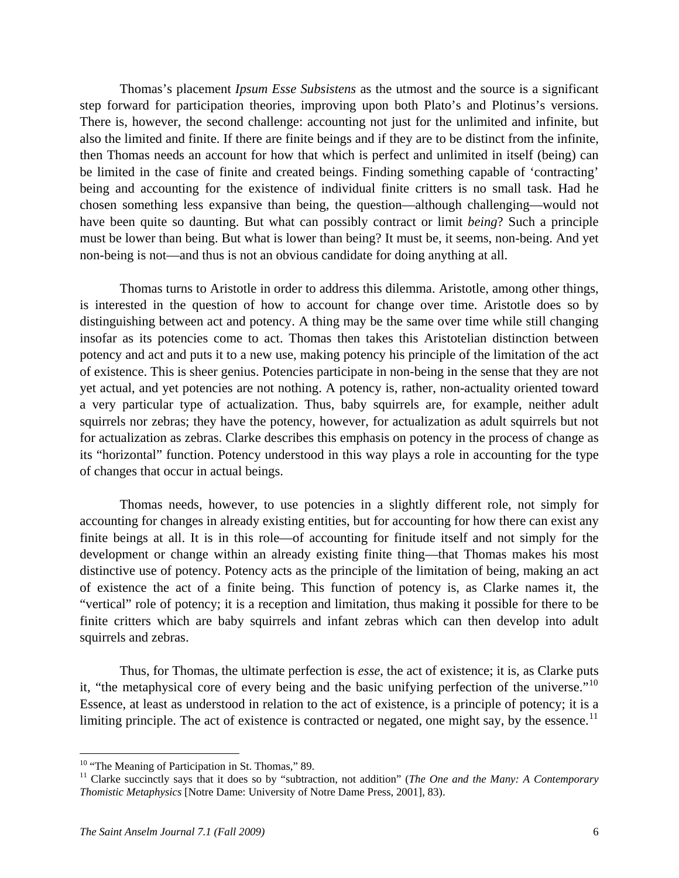Thomas's placement *Ipsum Esse Subsistens* as the utmost and the source is a significant step forward for participation theories, improving upon both Plato's and Plotinus's versions. There is, however, the second challenge: accounting not just for the unlimited and infinite, but also the limited and finite. If there are finite beings and if they are to be distinct from the infinite, then Thomas needs an account for how that which is perfect and unlimited in itself (being) can be limited in the case of finite and created beings. Finding something capable of 'contracting' being and accounting for the existence of individual finite critters is no small task. Had he chosen something less expansive than being, the question—although challenging—would not have been quite so daunting. But what can possibly contract or limit *being*? Such a principle must be lower than being. But what is lower than being? It must be, it seems, non-being. And yet non-being is not—and thus is not an obvious candidate for doing anything at all.

 Thomas turns to Aristotle in order to address this dilemma. Aristotle, among other things, is interested in the question of how to account for change over time. Aristotle does so by distinguishing between act and potency. A thing may be the same over time while still changing insofar as its potencies come to act. Thomas then takes this Aristotelian distinction between potency and act and puts it to a new use, making potency his principle of the limitation of the act of existence. This is sheer genius. Potencies participate in non-being in the sense that they are not yet actual, and yet potencies are not nothing. A potency is, rather, non-actuality oriented toward a very particular type of actualization. Thus, baby squirrels are, for example, neither adult squirrels nor zebras; they have the potency, however, for actualization as adult squirrels but not for actualization as zebras. Clarke describes this emphasis on potency in the process of change as its "horizontal" function. Potency understood in this way plays a role in accounting for the type of changes that occur in actual beings.

 Thomas needs, however, to use potencies in a slightly different role, not simply for accounting for changes in already existing entities, but for accounting for how there can exist any finite beings at all. It is in this role—of accounting for finitude itself and not simply for the development or change within an already existing finite thing—that Thomas makes his most distinctive use of potency. Potency acts as the principle of the limitation of being, making an act of existence the act of a finite being. This function of potency is, as Clarke names it, the "vertical" role of potency; it is a reception and limitation, thus making it possible for there to be finite critters which are baby squirrels and infant zebras which can then develop into adult squirrels and zebras.

 Thus, for Thomas, the ultimate perfection is *esse*, the act of existence; it is, as Clarke puts it, "the metaphysical core of every being and the basic unifying perfection of the universe."<sup>[10](#page-5-0)</sup> Essence, at least as understood in relation to the act of existence, is a principle of potency; it is a limiting principle. The act of existence is contracted or negated, one might say, by the essence.<sup>[11](#page-5-1)</sup>

1

<span id="page-5-0"></span> $10$  "The Meaning of Participation in St. Thomas," 89.

<span id="page-5-1"></span><sup>&</sup>lt;sup>11</sup> Clarke succinctly says that it does so by "subtraction, not addition" (*The One and the Many: A Contemporary Thomistic Metaphysics* [Notre Dame: University of Notre Dame Press, 2001], 83).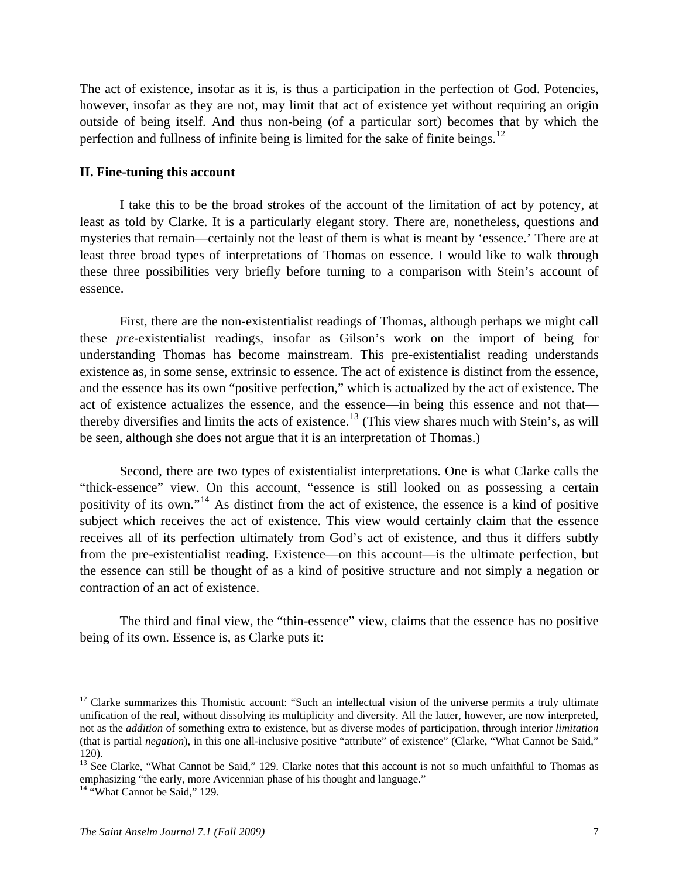The act of existence, insofar as it is, is thus a participation in the perfection of God. Potencies, however, insofar as they are not, may limit that act of existence yet without requiring an origin outside of being itself. And thus non-being (of a particular sort) becomes that by which the perfection and fullness of infinite being is limited for the sake of finite beings.<sup>[12](#page-6-0)</sup>

#### **II. Fine-tuning this account**

 I take this to be the broad strokes of the account of the limitation of act by potency, at least as told by Clarke. It is a particularly elegant story. There are, nonetheless, questions and mysteries that remain—certainly not the least of them is what is meant by 'essence.' There are at least three broad types of interpretations of Thomas on essence. I would like to walk through these three possibilities very briefly before turning to a comparison with Stein's account of essence.

 First, there are the non-existentialist readings of Thomas, although perhaps we might call these *pre*-existentialist readings, insofar as Gilson's work on the import of being for understanding Thomas has become mainstream. This pre-existentialist reading understands existence as, in some sense, extrinsic to essence. The act of existence is distinct from the essence, and the essence has its own "positive perfection," which is actualized by the act of existence. The act of existence actualizes the essence, and the essence—in being this essence and not that— thereby diversifies and limits the acts of existence.<sup>[13](#page-6-1)</sup> (This view shares much with Stein's, as will be seen, although she does not argue that it is an interpretation of Thomas.)

 Second, there are two types of existentialist interpretations. One is what Clarke calls the "thick-essence" view. On this account, "essence is still looked on as possessing a certain positivity of its own."[14](#page-6-2) As distinct from the act of existence, the essence is a kind of positive subject which receives the act of existence. This view would certainly claim that the essence receives all of its perfection ultimately from God's act of existence, and thus it differs subtly from the pre-existentialist reading. Existence—on this account—is the ultimate perfection, but the essence can still be thought of as a kind of positive structure and not simply a negation or contraction of an act of existence.

 The third and final view, the "thin-essence" view, claims that the essence has no positive being of its own. Essence is, as Clarke puts it:

<span id="page-6-0"></span> $12$  Clarke summarizes this Thomistic account: "Such an intellectual vision of the universe permits a truly ultimate unification of the real, without dissolving its multiplicity and diversity. All the latter, however, are now interpreted, not as the *addition* of something extra to existence, but as diverse modes of participation, through interior *limitation* (that is partial *negation*), in this one all-inclusive positive "attribute" of existence" (Clarke, "What Cannot be Said," 120).

<span id="page-6-1"></span> $13$  See Clarke, "What Cannot be Said," 129. Clarke notes that this account is not so much unfaithful to Thomas as emphasizing "the early, more Avicennian phase of his thought and language."

<span id="page-6-2"></span><sup>&</sup>lt;sup>14</sup> "What Cannot be Said," 129.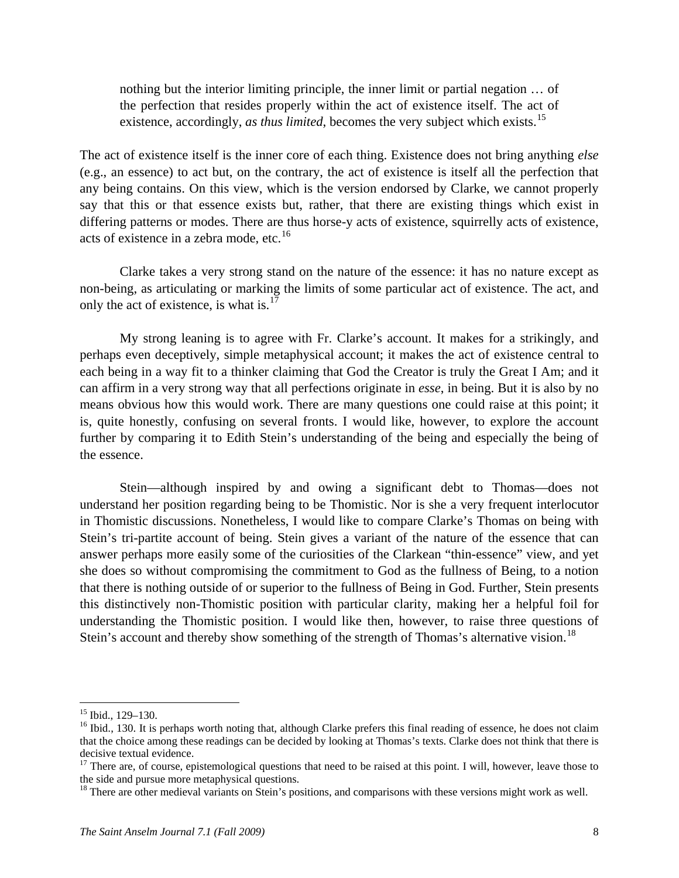nothing but the interior limiting principle, the inner limit or partial negation … of the perfection that resides properly within the act of existence itself. The act of existence, accordingly, *as thus limited*, becomes the very subject which exists.<sup>[15](#page-7-0)</sup>

The act of existence itself is the inner core of each thing. Existence does not bring anything *else*  (e.g., an essence) to act but, on the contrary, the act of existence is itself all the perfection that any being contains. On this view, which is the version endorsed by Clarke, we cannot properly say that this or that essence exists but, rather, that there are existing things which exist in differing patterns or modes. There are thus horse-y acts of existence, squirrelly acts of existence, acts of existence in a zebra mode, etc. $16$ 

 Clarke takes a very strong stand on the nature of the essence: it has no nature except as non-being, as articulating or marking the limits of some particular act of existence. The act, and only the act of existence, is what is.<sup>[17](#page-7-2)</sup>

 My strong leaning is to agree with Fr. Clarke's account. It makes for a strikingly, and perhaps even deceptively, simple metaphysical account; it makes the act of existence central to each being in a way fit to a thinker claiming that God the Creator is truly the Great I Am; and it can affirm in a very strong way that all perfections originate in *esse*, in being. But it is also by no means obvious how this would work. There are many questions one could raise at this point; it is, quite honestly, confusing on several fronts. I would like, however, to explore the account further by comparing it to Edith Stein's understanding of the being and especially the being of the essence.

 Stein—although inspired by and owing a significant debt to Thomas—does not understand her position regarding being to be Thomistic. Nor is she a very frequent interlocutor in Thomistic discussions. Nonetheless, I would like to compare Clarke's Thomas on being with Stein's tri-partite account of being. Stein gives a variant of the nature of the essence that can answer perhaps more easily some of the curiosities of the Clarkean "thin-essence" view, and yet she does so without compromising the commitment to God as the fullness of Being, to a notion that there is nothing outside of or superior to the fullness of Being in God. Further, Stein presents this distinctively non-Thomistic position with particular clarity, making her a helpful foil for understanding the Thomistic position. I would like then, however, to raise three questions of Stein's account and thereby show something of the strength of Thomas's alternative vision.<sup>[18](#page-7-3)</sup>

<u>.</u>

<sup>15</sup> Ibid., 129–130.

<span id="page-7-1"></span><span id="page-7-0"></span> $16$  Ibid., 130. It is perhaps worth noting that, although Clarke prefers this final reading of essence, he does not claim that the choice among these readings can be decided by looking at Thomas's texts. Clarke does not think that there is decisive textual evidence.

<span id="page-7-2"></span> $17$  There are, of course, epistemological questions that need to be raised at this point. I will, however, leave those to the side and pursue more metaphysical questions.

<span id="page-7-3"></span><sup>&</sup>lt;sup>18</sup> There are other medieval variants on Stein's positions, and comparisons with these versions might work as well.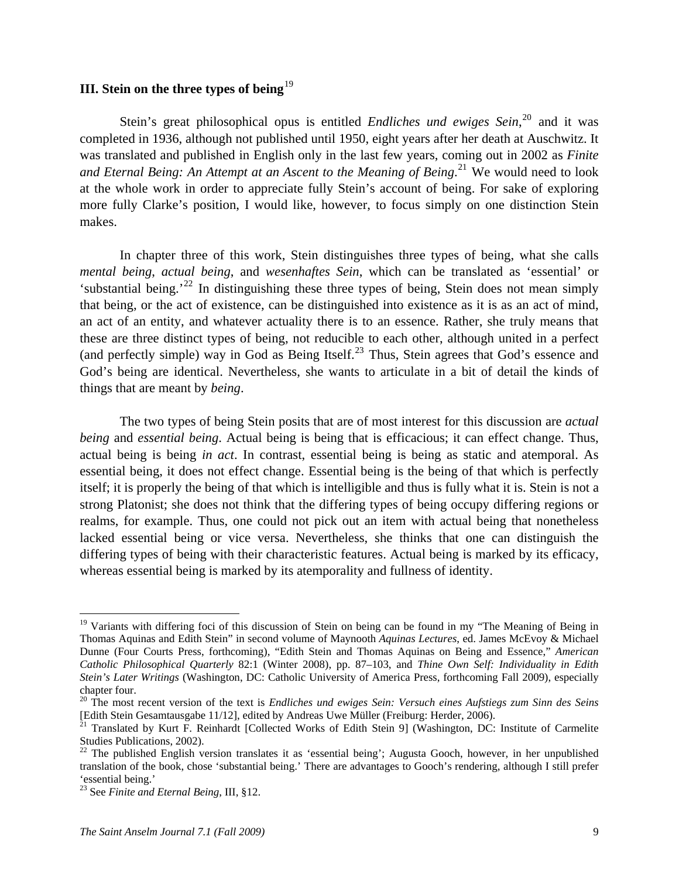### **III.** Stein on the three types of being<sup>[19](#page-8-0)</sup>

Stein's great philosophical opus is entitled *Endliches und ewiges Sein*,<sup>[20](#page-8-1)</sup> and it was completed in 1936, although not published until 1950, eight years after her death at Auschwitz. It was translated and published in English only in the last few years, coming out in 2002 as *Finite*  and Eternal Being: An Attempt at an Ascent to the Meaning of Being.<sup>[21](#page-8-2)</sup> We would need to look at the whole work in order to appreciate fully Stein's account of being. For sake of exploring more fully Clarke's position, I would like, however, to focus simply on one distinction Stein makes.

God's being are identical. Nevertheless, she wants to articulate in a bit of detail the kinds of things that are meant by *being*. In chapter three of this work, Stein distinguishes three types of being, what she calls *mental being*, *actual being*, and *wesenhaftes Sein*, which can be translated as 'essential' or 'substantial being.'<sup>[22](#page-8-3)</sup> In distinguishing these three types of being, Stein does not mean simply that being, or the act of existence, can be distinguished into existence as it is as an act of mind, an act of an entity, and whatever actuality there is to an essence. Rather, she truly means that these are three distinct types of being, not reducible to each other, although united in a perfect (and perfectly simple) way in God as Being Itself.<sup>[23](#page-8-4)</sup> Thus, Stein agrees that God's essence and

differing types of being with their characteristic features. Actual being is marked by its efficacy, whereas essential being is marked by its atemporality and fullness of identity. The two types of being Stein posits that are of most interest for this discussion are *actual being* and *essential being*. Actual being is being that is efficacious; it can effect change. Thus, actual being is being *in act*. In contrast, essential being is being as static and atemporal. As essential being, it does not effect change. Essential being is the being of that which is perfectly itself; it is properly the being of that which is intelligible and thus is fully what it is. Stein is not a strong Platonist; she does not think that the differing types of being occupy differing regions or realms, for example. Thus, one could not pick out an item with actual being that nonetheless lacked essential being or vice versa. Nevertheless, she thinks that one can distinguish the

<span id="page-8-0"></span><sup>&</sup>lt;sup>19</sup> Variants with differing foci of this discussion of Stein on being can be found in my "The Meaning of Being in Thomas Aquinas and Edith Stein" in second volume of Maynooth *Aquinas Lectures*, ed. James McEvoy & Michael Dunne (Four Courts Press, forthcoming), "Edith Stein and Thomas Aquinas on Being and Essence," *American Catholic Philosophical Quarterly* 82:1 (Winter 2008), pp. 87–103, and *Thine Own Self: Individuality in Edith Stein's Later Writings* (Washington, DC: Catholic University of America Press, forthcoming Fall 2009), especially chapter four.

<span id="page-8-1"></span><sup>&</sup>lt;sup>20</sup> The most recent version of the text is *Endliches und ewiges Sein: Versuch eines Aufstiegs zum Sinn des Seins* [Edith Stein Gesamtausgabe 11/12], edited by Andreas Uwe Müller (Freiburg: Herder, 2006).<br><sup>21</sup> Translated by Kurt F. Reinhardt [Collected Works of Edith Stein 9] (Washington, DC: Institute of Carmelite

<span id="page-8-2"></span>Studies Publications, 2002).

<span id="page-8-3"></span> $^{22}$  The published English version translates it as 'essential being'; Augusta Gooch, however, in her unpublished translation of the book, chose 'substantial being.' There are advantages to Gooch's rendering, although I still prefer 'essential being.'

<span id="page-8-4"></span><sup>23</sup> See *Finite and Eternal Being*, III, §12.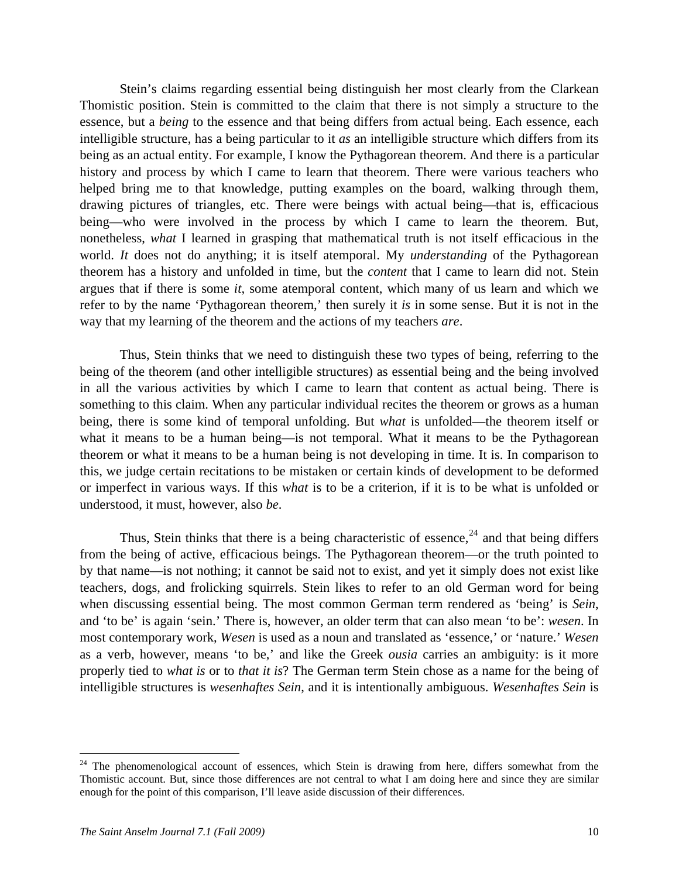Stein's claims regarding essential being distinguish her most clearly from the Clarkean Thomistic position. Stein is committed to the claim that there is not simply a structure to the essence, but a *being* to the essence and that being differs from actual being. Each essence, each intelligible structure, has a being particular to it *as* an intelligible structure which differs from its being as an actual entity. For example, I know the Pythagorean theorem. And there is a particular history and process by which I came to learn that theorem. There were various teachers who helped bring me to that knowledge, putting examples on the board, walking through them, drawing pictures of triangles, etc. There were beings with actual being—that is, efficacious being—who were involved in the process by which I came to learn the theorem. But, nonetheless, *what* I learned in grasping that mathematical truth is not itself efficacious in the world. *It* does not do anything; it is itself atemporal. My *understanding* of the Pythagorean theorem has a history and unfolded in time, but the *content* that I came to learn did not. Stein argues that if there is some *it*, some atemporal content, which many of us learn and which we refer to by the name 'Pythagorean theorem,' then surely it *is* in some sense. But it is not in the way that my learning of the theorem and the actions of my teachers *are*.

 Thus, Stein thinks that we need to distinguish these two types of being, referring to the being of the theorem (and other intelligible structures) as essential being and the being involved in all the various activities by which I came to learn that content as actual being. There is something to this claim. When any particular individual recites the theorem or grows as a human being, there is some kind of temporal unfolding. But *what* is unfolded—the theorem itself or what it means to be a human being—is not temporal. What it means to be the Pythagorean theorem or what it means to be a human being is not developing in time. It is. In comparison to this, we judge certain recitations to be mistaken or certain kinds of development to be deformed or imperfect in various ways. If this *what* is to be a criterion, if it is to be what is unfolded or understood, it must, however, also *be*.

Thus, Stein thinks that there is a being characteristic of essence,  $24$  and that being differs from the being of active, efficacious beings. The Pythagorean theorem—or the truth pointed to by that name—is not nothing; it cannot be said not to exist, and yet it simply does not exist like teachers, dogs, and frolicking squirrels. Stein likes to refer to an old German word for being when discussing essential being. The most common German term rendered as 'being' is *Sein*, and 'to be' is again 'sein.' There is, however, an older term that can also mean 'to be': *wesen*. In most contemporary work, *Wesen* is used as a noun and translated as 'essence,' or 'nature.' *Wesen* as a verb, however, means 'to be,' and like the Greek *ousia* carries an ambiguity: is it more properly tied to *what is* or to *that it is*? The German term Stein chose as a name for the being of intelligible structures is *wesenhaftes Sein*, and it is intentionally ambiguous. *Wesenhaftes Sein* is

<span id="page-9-0"></span><sup>&</sup>lt;sup>24</sup> The phenomenological account of essences, which Stein is drawing from here, differs somewhat from the Thomistic account. But, since those differences are not central to what I am doing here and since they are similar enough for the point of this comparison, I'll leave aside discussion of their differences.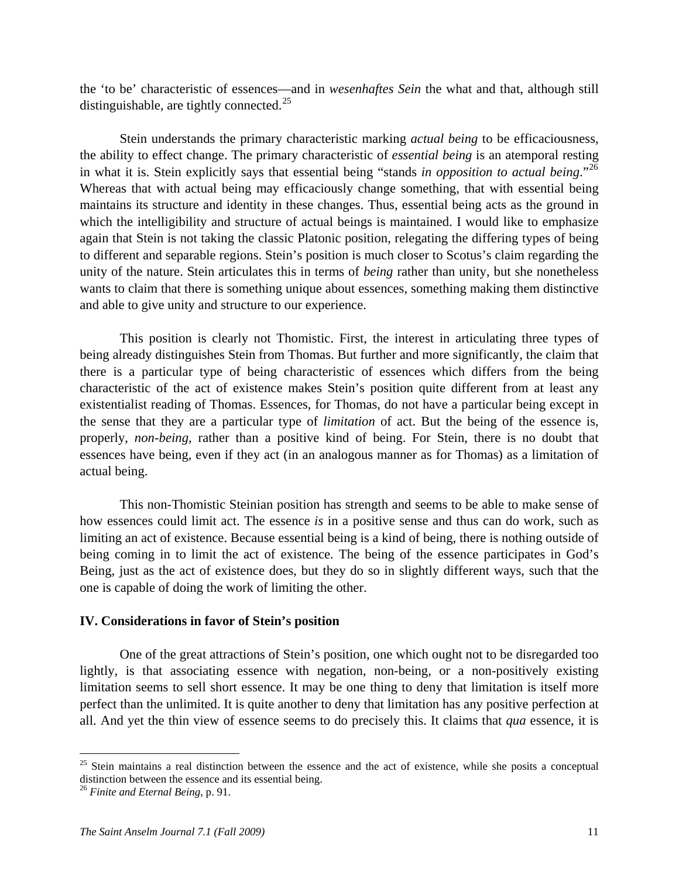the 'to be' characteristic of essences—and in *wesenhaftes Sein* the what and that, although still distinguishable, are tightly connected.<sup>[25](#page-10-0)</sup>

 Stein understands the primary characteristic marking *actual being* to be efficaciousness, the ability to effect change. The primary characteristic of *essential being* is an atemporal resting in what it is. Stein explicitly says that essential being "stands *in opposition to actual being*."[26](#page-10-1) Whereas that with actual being may efficaciously change something, that with essential being maintains its structure and identity in these changes. Thus, essential being acts as the ground in which the intelligibility and structure of actual beings is maintained. I would like to emphasize again that Stein is not taking the classic Platonic position, relegating the differing types of being to different and separable regions. Stein's position is much closer to Scotus's claim regarding the unity of the nature. Stein articulates this in terms of *being* rather than unity, but she nonetheless wants to claim that there is something unique about essences, something making them distinctive and able to give unity and structure to our experience.

 This position is clearly not Thomistic. First, the interest in articulating three types of being already distinguishes Stein from Thomas. But further and more significantly, the claim that there is a particular type of being characteristic of essences which differs from the being characteristic of the act of existence makes Stein's position quite different from at least any existentialist reading of Thomas. Essences, for Thomas, do not have a particular being except in the sense that they are a particular type of *limitation* of act. But the being of the essence is, properly, *non-being*, rather than a positive kind of being. For Stein, there is no doubt that essences have being, even if they act (in an analogous manner as for Thomas) as a limitation of actual being.

 This non-Thomistic Steinian position has strength and seems to be able to make sense of how essences could limit act. The essence *is* in a positive sense and thus can do work, such as limiting an act of existence. Because essential being is a kind of being, there is nothing outside of being coming in to limit the act of existence. The being of the essence participates in God's Being, just as the act of existence does, but they do so in slightly different ways, such that the one is capable of doing the work of limiting the other.

#### **IV. Considerations in favor of Stein's position**

 One of the great attractions of Stein's position, one which ought not to be disregarded too lightly, is that associating essence with negation, non-being, or a non-positively existing limitation seems to sell short essence. It may be one thing to deny that limitation is itself more perfect than the unlimited. It is quite another to deny that limitation has any positive perfection at all. And yet the thin view of essence seems to do precisely this. It claims that *qua* essence, it is

<span id="page-10-0"></span><sup>&</sup>lt;sup>25</sup> Stein maintains a real distinction between the essence and the act of existence, while she posits a conceptual distinction between the essence and its essential being.

<span id="page-10-1"></span><sup>26</sup> *Finite and Eternal Being*, p. 91.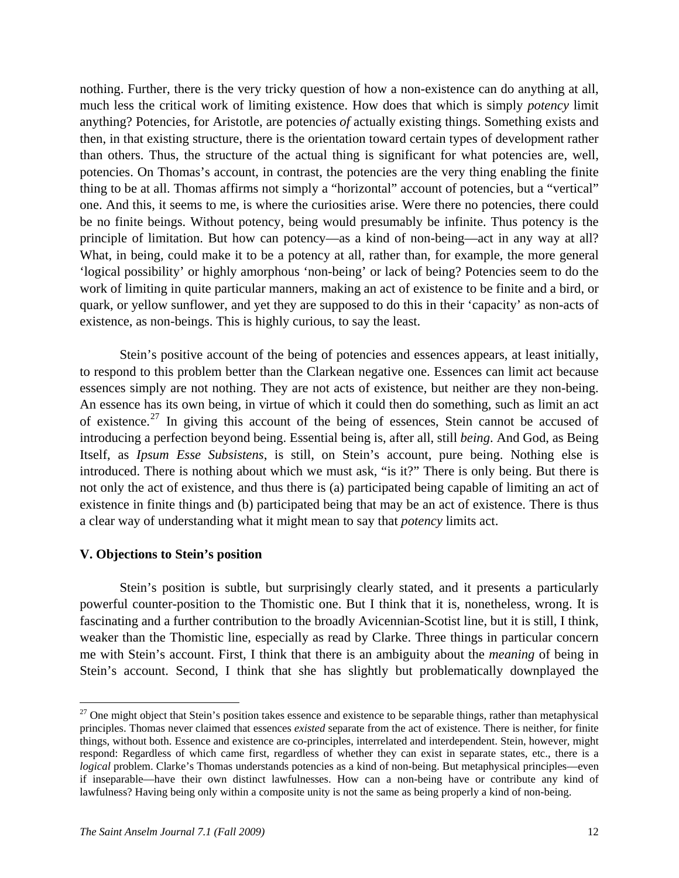nothing. Further, there is the very tricky question of how a non-existence can do anything at all, much less the critical work of limiting existence. How does that which is simply *potency* limit anything? Potencies, for Aristotle, are potencies *of* actually existing things. Something exists and then, in that existing structure, there is the orientation toward certain types of development rather than others. Thus, the structure of the actual thing is significant for what potencies are, well, potencies. On Thomas's account, in contrast, the potencies are the very thing enabling the finite thing to be at all. Thomas affirms not simply a "horizontal" account of potencies, but a "vertical" one. And this, it seems to me, is where the curiosities arise. Were there no potencies, there could be no finite beings. Without potency, being would presumably be infinite. Thus potency is the principle of limitation. But how can potency—as a kind of non-being—act in any way at all? What, in being, could make it to be a potency at all, rather than, for example, the more general 'logical possibility' or highly amorphous 'non-being' or lack of being? Potencies seem to do the work of limiting in quite particular manners, making an act of existence to be finite and a bird, or quark, or yellow sunflower, and yet they are supposed to do this in their 'capacity' as non-acts of existence, as non-beings. This is highly curious, to say the least.

 Stein's positive account of the being of potencies and essences appears, at least initially, to respond to this problem better than the Clarkean negative one. Essences can limit act because essences simply are not nothing. They are not acts of existence, but neither are they non-being. An essence has its own being, in virtue of which it could then do something, such as limit an act of existence.<sup>[27](#page-11-0)</sup> In giving this account of the being of essences, Stein cannot be accused of introducing a perfection beyond being. Essential being is, after all, still *being*. And God, as Being Itself, as *Ipsum Esse Subsistens*, is still, on Stein's account, pure being. Nothing else is introduced. There is nothing about which we must ask, "is it?" There is only being. But there is not only the act of existence, and thus there is (a) participated being capable of limiting an act of existence in finite things and (b) participated being that may be an act of existence. There is thus a clear way of understanding what it might mean to say that *potency* limits act.

### **V. Objections to Stein's position**

 Stein's position is subtle, but surprisingly clearly stated, and it presents a particularly powerful counter-position to the Thomistic one. But I think that it is, nonetheless, wrong. It is fascinating and a further contribution to the broadly Avicennian-Scotist line, but it is still, I think, weaker than the Thomistic line, especially as read by Clarke. Three things in particular concern me with Stein's account. First, I think that there is an ambiguity about the *meaning* of being in Stein's account. Second, I think that she has slightly but problematically downplayed the

<u>.</u>

<span id="page-11-0"></span> $27$  One might object that Stein's position takes essence and existence to be separable things, rather than metaphysical principles. Thomas never claimed that essences *existed* separate from the act of existence. There is neither, for finite things, without both. Essence and existence are co-principles, interrelated and interdependent. Stein, however, might respond: Regardless of which came first, regardless of whether they can exist in separate states, etc., there is a *logical* problem. Clarke's Thomas understands potencies as a kind of non-being. But metaphysical principles—even if inseparable—have their own distinct lawfulnesses. How can a non-being have or contribute any kind of lawfulness? Having being only within a composite unity is not the same as being properly a kind of non-being.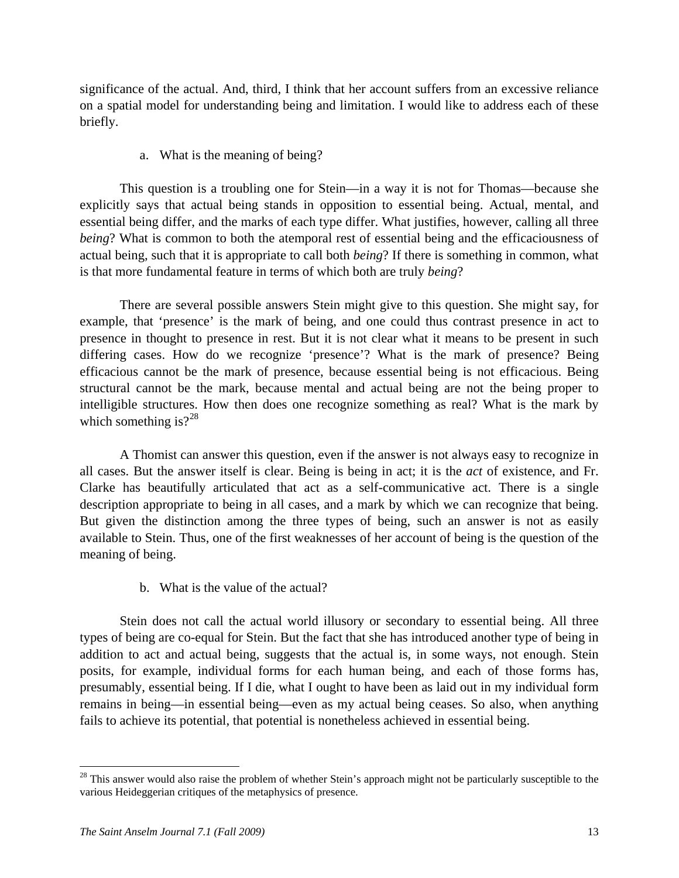significance of the actual. And, third, I think that her account suffers from an excessive reliance on a spatial model for understanding being and limitation. I would like to address each of these briefly.

## a. What is the meaning of being?

 This question is a troubling one for Stein—in a way it is not for Thomas—because she explicitly says that actual being stands in opposition to essential being. Actual, mental, and essential being differ, and the marks of each type differ. What justifies, however, calling all three *being*? What is common to both the atemporal rest of essential being and the efficaciousness of actual being, such that it is appropriate to call both *being*? If there is something in common, what is that more fundamental feature in terms of which both are truly *being*?

 There are several possible answers Stein might give to this question. She might say, for example, that 'presence' is the mark of being, and one could thus contrast presence in act to presence in thought to presence in rest. But it is not clear what it means to be present in such differing cases. How do we recognize 'presence'? What is the mark of presence? Being efficacious cannot be the mark of presence, because essential being is not efficacious. Being structural cannot be the mark, because mental and actual being are not the being proper to intelligible structures. How then does one recognize something as real? What is the mark by which something is? $2^{28}$  $2^{28}$  $2^{28}$ 

 A Thomist can answer this question, even if the answer is not always easy to recognize in all cases. But the answer itself is clear. Being is being in act; it is the *act* of existence, and Fr. Clarke has beautifully articulated that act as a self-communicative act. There is a single description appropriate to being in all cases, and a mark by which we can recognize that being. But given the distinction among the three types of being, such an answer is not as easily available to Stein. Thus, one of the first weaknesses of her account of being is the question of the meaning of being.

## b. What is the value of the actual?

 Stein does not call the actual world illusory or secondary to essential being. All three types of being are co-equal for Stein. But the fact that she has introduced another type of being in addition to act and actual being, suggests that the actual is, in some ways, not enough. Stein posits, for example, individual forms for each human being, and each of those forms has, presumably, essential being. If I die, what I ought to have been as laid out in my individual form remains in being—in essential being—even as my actual being ceases. So also, when anything fails to achieve its potential, that potential is nonetheless achieved in essential being.

<span id="page-12-0"></span> $28$  This answer would also raise the problem of whether Stein's approach might not be particularly susceptible to the various Heideggerian critiques of the metaphysics of presence.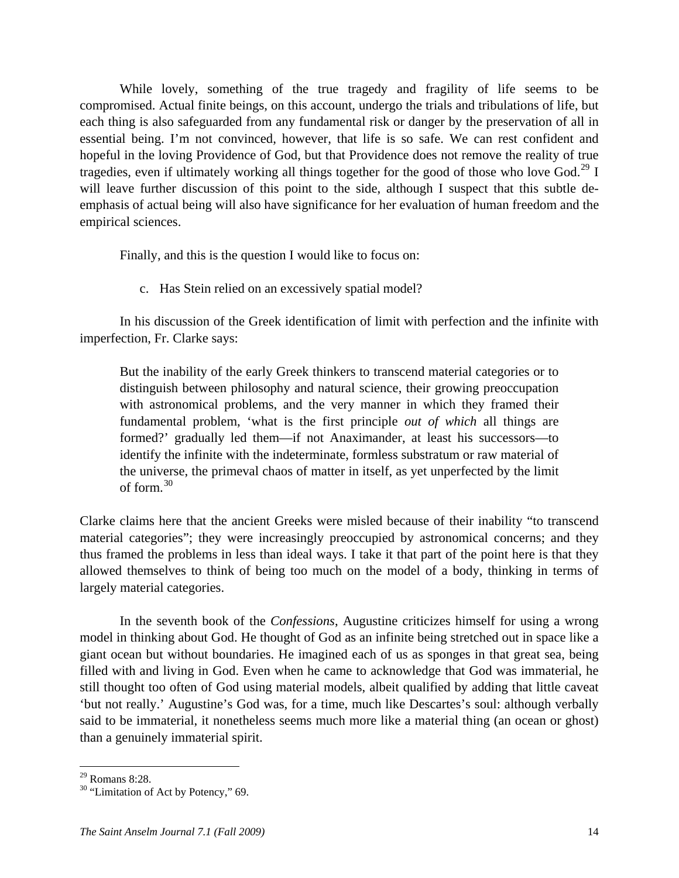While lovely, something of the true tragedy and fragility of life seems to be compromised. Actual finite beings, on this account, undergo the trials and tribulations of life, but each thing is also safeguarded from any fundamental risk or danger by the preservation of all in essential being. I'm not convinced, however, that life is so safe. We can rest confident and hopeful in the loving Providence of God, but that Providence does not remove the reality of true tragedies, even if ultimately working all things together for the good of those who love God.<sup>[29](#page-13-0)</sup> I will leave further discussion of this point to the side, although I suspect that this subtle deemphasis of actual being will also have significance for her evaluation of human freedom and the empirical sciences.

Finally, and this is the question I would like to focus on:

c. Has Stein relied on an excessively spatial model?

 In his discussion of the Greek identification of limit with perfection and the infinite with imperfection, Fr. Clarke says:

But the inability of the early Greek thinkers to transcend material categories or to distinguish between philosophy and natural science, their growing preoccupation with astronomical problems, and the very manner in which they framed their fundamental problem, 'what is the first principle *out of which* all things are formed?' gradually led them—if not Anaximander, at least his successors—to identify the infinite with the indeterminate, formless substratum or raw material of the universe, the primeval chaos of matter in itself, as yet unperfected by the limit of form.[30](#page-13-1)

Clarke claims here that the ancient Greeks were misled because of their inability "to transcend material categories"; they were increasingly preoccupied by astronomical concerns; and they thus framed the problems in less than ideal ways. I take it that part of the point here is that they allowed themselves to think of being too much on the model of a body, thinking in terms of largely material categories.

 In the seventh book of the *Confessions*, Augustine criticizes himself for using a wrong model in thinking about God. He thought of God as an infinite being stretched out in space like a giant ocean but without boundaries. He imagined each of us as sponges in that great sea, being filled with and living in God. Even when he came to acknowledge that God was immaterial, he still thought too often of God using material models, albeit qualified by adding that little caveat 'but not really.' Augustine's God was, for a time, much like Descartes's soul: although verbally said to be immaterial, it nonetheless seems much more like a material thing (an ocean or ghost) than a genuinely immaterial spirit.

1

<span id="page-13-0"></span> $29$  Romans 8:28.

<span id="page-13-1"></span> $30$  "Limitation of Act by Potency," 69.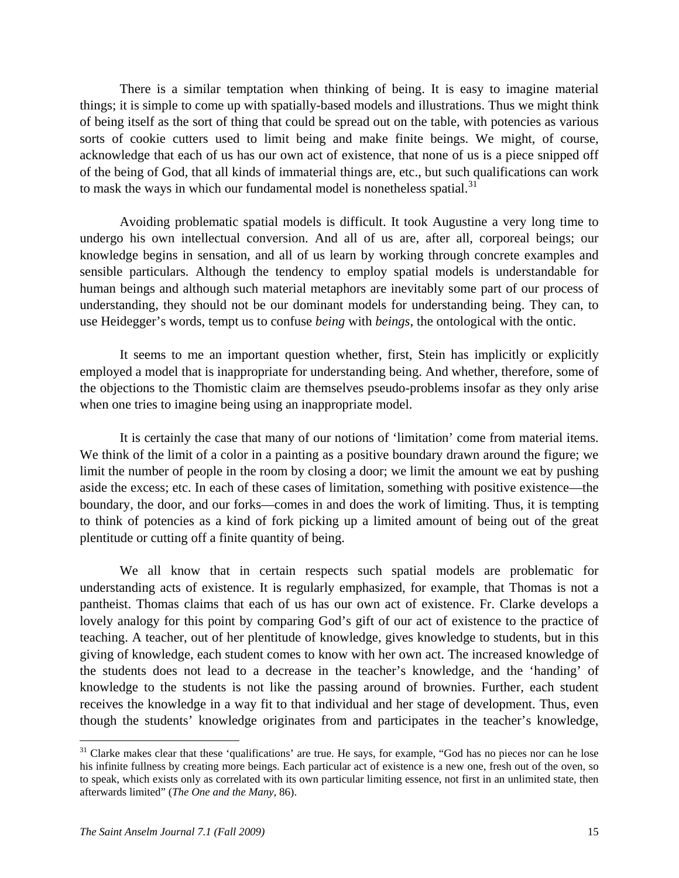There is a similar temptation when thinking of being. It is easy to imagine material things; it is simple to come up with spatially-based models and illustrations. Thus we might think of being itself as the sort of thing that could be spread out on the table, with potencies as various sorts of cookie cutters used to limit being and make finite beings. We might, of course, acknowledge that each of us has our own act of existence, that none of us is a piece snipped off of the being of God, that all kinds of immaterial things are, etc., but such qualifications can work to mask the ways in which our fundamental model is nonetheless spatial.<sup>[31](#page-14-0)</sup>

 Avoiding problematic spatial models is difficult. It took Augustine a very long time to undergo his own intellectual conversion. And all of us are, after all, corporeal beings; our knowledge begins in sensation, and all of us learn by working through concrete examples and sensible particulars. Although the tendency to employ spatial models is understandable for human beings and although such material metaphors are inevitably some part of our process of understanding, they should not be our dominant models for understanding being. They can, to use Heidegger's words, tempt us to confuse *being* with *beings*, the ontological with the ontic.

 It seems to me an important question whether, first, Stein has implicitly or explicitly employed a model that is inappropriate for understanding being. And whether, therefore, some of the objections to the Thomistic claim are themselves pseudo-problems insofar as they only arise when one tries to imagine being using an inappropriate model.

 It is certainly the case that many of our notions of 'limitation' come from material items. We think of the limit of a color in a painting as a positive boundary drawn around the figure; we limit the number of people in the room by closing a door; we limit the amount we eat by pushing aside the excess; etc. In each of these cases of limitation, something with positive existence—the boundary, the door, and our forks—comes in and does the work of limiting. Thus, it is tempting to think of potencies as a kind of fork picking up a limited amount of being out of the great plentitude or cutting off a finite quantity of being.

 We all know that in certain respects such spatial models are problematic for understanding acts of existence. It is regularly emphasized, for example, that Thomas is not a pantheist. Thomas claims that each of us has our own act of existence. Fr. Clarke develops a lovely analogy for this point by comparing God's gift of our act of existence to the practice of teaching. A teacher, out of her plentitude of knowledge, gives knowledge to students, but in this giving of knowledge, each student comes to know with her own act. The increased knowledge of the students does not lead to a decrease in the teacher's knowledge, and the 'handing' of knowledge to the students is not like the passing around of brownies. Further, each student receives the knowledge in a way fit to that individual and her stage of development. Thus, even though the students' knowledge originates from and participates in the teacher's knowledge,

<span id="page-14-0"></span> $31$  Clarke makes clear that these 'qualifications' are true. He says, for example, "God has no pieces nor can he lose his infinite fullness by creating more beings. Each particular act of existence is a new one, fresh out of the oven, so to speak, which exists only as correlated with its own particular limiting essence, not first in an unlimited state, then afterwards limited" (*The One and the Many*, 86).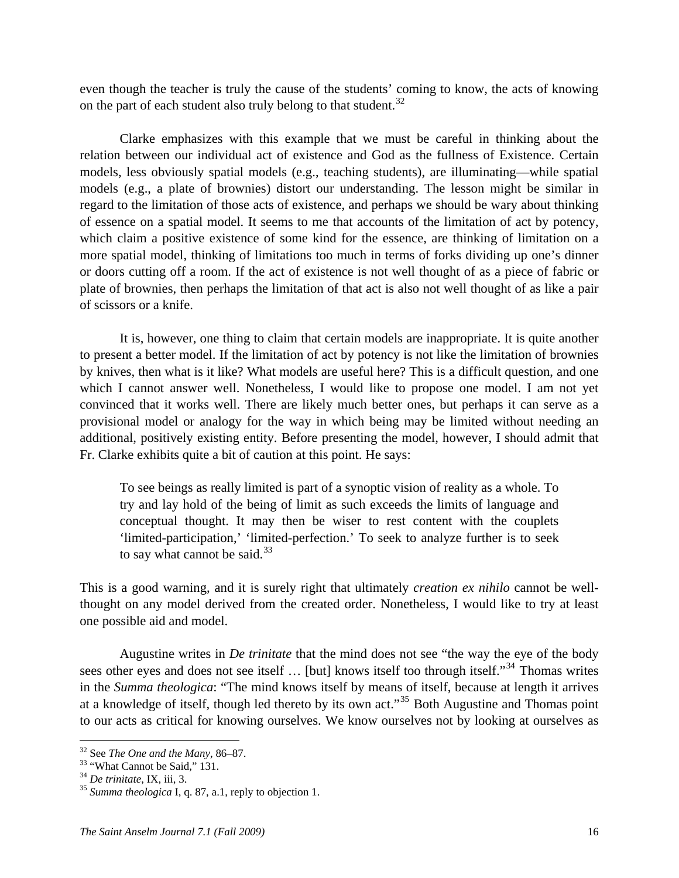even though the teacher is truly the cause of the students' coming to know, the acts of knowing on the part of each student also truly belong to that student.<sup>[32](#page-15-0)</sup>

 Clarke emphasizes with this example that we must be careful in thinking about the relation between our individual act of existence and God as the fullness of Existence. Certain models, less obviously spatial models (e.g., teaching students), are illuminating—while spatial models (e.g., a plate of brownies) distort our understanding. The lesson might be similar in regard to the limitation of those acts of existence, and perhaps we should be wary about thinking of essence on a spatial model. It seems to me that accounts of the limitation of act by potency, which claim a positive existence of some kind for the essence, are thinking of limitation on a more spatial model, thinking of limitations too much in terms of forks dividing up one's dinner or doors cutting off a room. If the act of existence is not well thought of as a piece of fabric or plate of brownies, then perhaps the limitation of that act is also not well thought of as like a pair of scissors or a knife.

 It is, however, one thing to claim that certain models are inappropriate. It is quite another to present a better model. If the limitation of act by potency is not like the limitation of brownies by knives, then what is it like? What models are useful here? This is a difficult question, and one which I cannot answer well. Nonetheless, I would like to propose one model. I am not yet convinced that it works well. There are likely much better ones, but perhaps it can serve as a provisional model or analogy for the way in which being may be limited without needing an additional, positively existing entity. Before presenting the model, however, I should admit that Fr. Clarke exhibits quite a bit of caution at this point. He says:

To see beings as really limited is part of a synoptic vision of reality as a whole. To try and lay hold of the being of limit as such exceeds the limits of language and conceptual thought. It may then be wiser to rest content with the couplets 'limited-participation,' 'limited-perfection.' To seek to analyze further is to seek to say what cannot be said. $33$ 

This is a good warning, and it is surely right that ultimately *creation ex nihilo* cannot be wellthought on any model derived from the created order. Nonetheless, I would like to try at least one possible aid and model.

 Augustine writes in *De trinitate* that the mind does not see "the way the eye of the body sees other eyes and does not see itself ... [but] knows itself too through itself."<sup>[34](#page-15-2)</sup> Thomas writes in the *Summa theologica*: "The mind knows itself by means of itself, because at length it arrives at a knowledge of itself, though led thereto by its own act."<sup>[35](#page-15-3)</sup> Both Augustine and Thomas point to our acts as critical for knowing ourselves. We know ourselves not by looking at ourselves as

<span id="page-15-1"></span><span id="page-15-0"></span><sup>&</sup>lt;sup>32</sup> See *The One and the Many*, 86–87.<br><sup>33</sup> "What Cannot be Said," 131.<br><sup>34</sup> De trinitate, IX, iii, 3.

<span id="page-15-2"></span>

<span id="page-15-3"></span><sup>&</sup>lt;sup>35</sup> *Summa theologica* I, q. 87, a.1, reply to objection 1.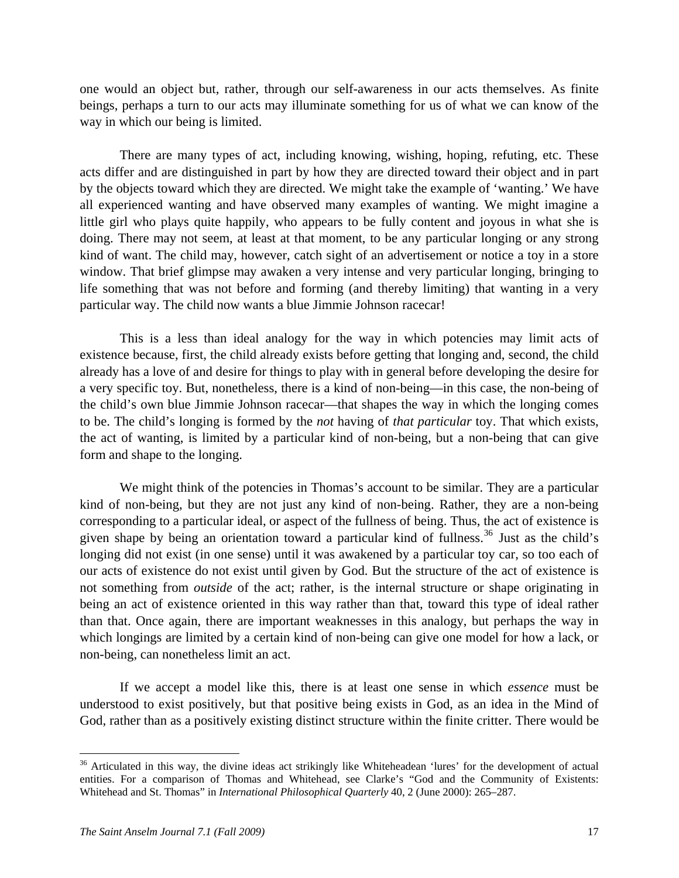one would an object but, rather, through our self-awareness in our acts themselves. As finite beings, perhaps a turn to our acts may illuminate something for us of what we can know of the way in which our being is limited.

 There are many types of act, including knowing, wishing, hoping, refuting, etc. These acts differ and are distinguished in part by how they are directed toward their object and in part by the objects toward which they are directed. We might take the example of 'wanting.' We have all experienced wanting and have observed many examples of wanting. We might imagine a little girl who plays quite happily, who appears to be fully content and joyous in what she is doing. There may not seem, at least at that moment, to be any particular longing or any strong kind of want. The child may, however, catch sight of an advertisement or notice a toy in a store window. That brief glimpse may awaken a very intense and very particular longing, bringing to life something that was not before and forming (and thereby limiting) that wanting in a very particular way. The child now wants a blue Jimmie Johnson racecar!

 This is a less than ideal analogy for the way in which potencies may limit acts of existence because, first, the child already exists before getting that longing and, second, the child already has a love of and desire for things to play with in general before developing the desire for a very specific toy. But, nonetheless, there is a kind of non-being—in this case, the non-being of the child's own blue Jimmie Johnson racecar—that shapes the way in which the longing comes to be. The child's longing is formed by the *not* having of *that particular* toy. That which exists, the act of wanting, is limited by a particular kind of non-being, but a non-being that can give form and shape to the longing.

We might think of the potencies in Thomas's account to be similar. They are a particular kind of non-being, but they are not just any kind of non-being. Rather, they are a non-being corresponding to a particular ideal, or aspect of the fullness of being. Thus, the act of existence is given shape by being an orientation toward a particular kind of fullness.<sup>[36](#page-16-0)</sup> Just as the child's longing did not exist (in one sense) until it was awakened by a particular toy car, so too each of our acts of existence do not exist until given by God. But the structure of the act of existence is not something from *outside* of the act; rather, is the internal structure or shape originating in being an act of existence oriented in this way rather than that, toward this type of ideal rather than that. Once again, there are important weaknesses in this analogy, but perhaps the way in which longings are limited by a certain kind of non-being can give one model for how a lack, or non-being, can nonetheless limit an act.

 If we accept a model like this, there is at least one sense in which *essence* must be understood to exist positively, but that positive being exists in God, as an idea in the Mind of God, rather than as a positively existing distinct structure within the finite critter. There would be

<span id="page-16-0"></span><sup>&</sup>lt;sup>36</sup> Articulated in this way, the divine ideas act strikingly like Whiteheadean 'lures' for the development of actual entities. For a comparison of Thomas and Whitehead, see Clarke's "God and the Community of Existents: Whitehead and St. Thomas" in *International Philosophical Quarterly* 40, 2 (June 2000): 265–287.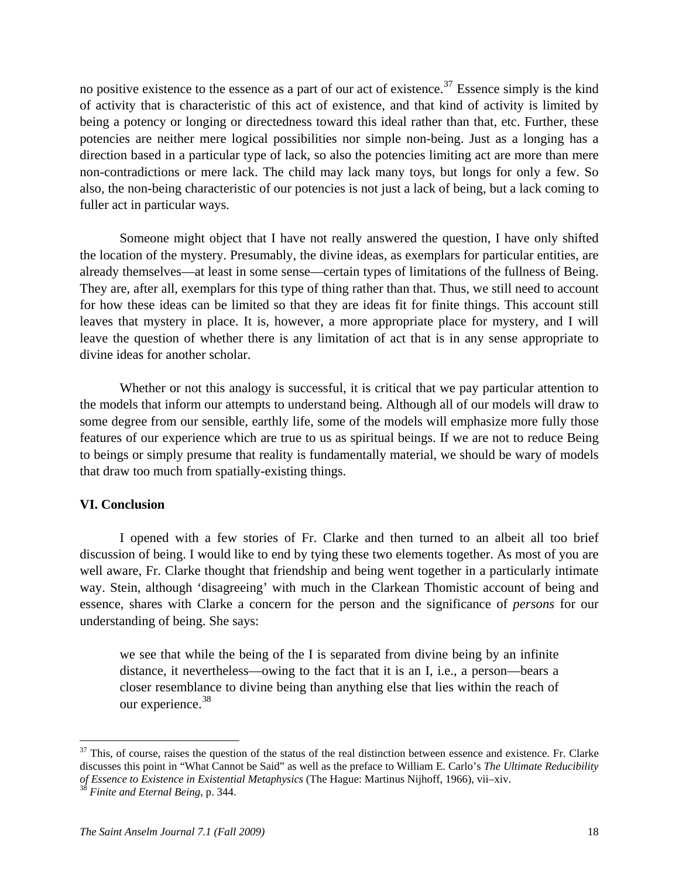no positive existence to the essence as a part of our act of existence.<sup>[37](#page-17-0)</sup> Essence simply is the kind of activity that is characteristic of this act of existence, and that kind of activity is limited by being a potency or longing or directedness toward this ideal rather than that, etc. Further, these potencies are neither mere logical possibilities nor simple non-being. Just as a longing has a direction based in a particular type of lack, so also the potencies limiting act are more than mere non-contradictions or mere lack. The child may lack many toys, but longs for only a few. So also, the non-being characteristic of our potencies is not just a lack of being, but a lack coming to fuller act in particular ways.

 Someone might object that I have not really answered the question, I have only shifted the location of the mystery. Presumably, the divine ideas, as exemplars for particular entities, are already themselves—at least in some sense—certain types of limitations of the fullness of Being. They are, after all, exemplars for this type of thing rather than that. Thus, we still need to account for how these ideas can be limited so that they are ideas fit for finite things. This account still leaves that mystery in place. It is, however, a more appropriate place for mystery, and I will leave the question of whether there is any limitation of act that is in any sense appropriate to divine ideas for another scholar.

Whether or not this analogy is successful, it is critical that we pay particular attention to the models that inform our attempts to understand being. Although all of our models will draw to some degree from our sensible, earthly life, some of the models will emphasize more fully those features of our experience which are true to us as spiritual beings. If we are not to reduce Being to beings or simply presume that reality is fundamentally material, we should be wary of models that draw too much from spatially-existing things.

#### **VI. Conclusion**

 I opened with a few stories of Fr. Clarke and then turned to an albeit all too brief discussion of being. I would like to end by tying these two elements together. As most of you are well aware, Fr. Clarke thought that friendship and being went together in a particularly intimate way. Stein, although 'disagreeing' with much in the Clarkean Thomistic account of being and essence, shares with Clarke a concern for the person and the significance of *persons* for our understanding of being. She says:

we see that while the being of the I is separated from divine being by an infinite distance, it nevertheless—owing to the fact that it is an I, i.e., a person—bears a closer resemblance to divine being than anything else that lies within the reach of our experience.<sup>[38](#page-17-1)</sup>

<span id="page-17-0"></span> $37$  This, of course, raises the question of the status of the real distinction between essence and existence. Fr. Clarke discusses this point in "What Cannot be Said" as well as the preface to William E. Carlo's *The Ultimate Reducibility of Essence to Existence in Existential Metaphysics* (The Hague: Martinus Nijhoff, 1966), vii–xiv. 38 *Finite and Eternal Being*, p. 344.

<span id="page-17-1"></span>